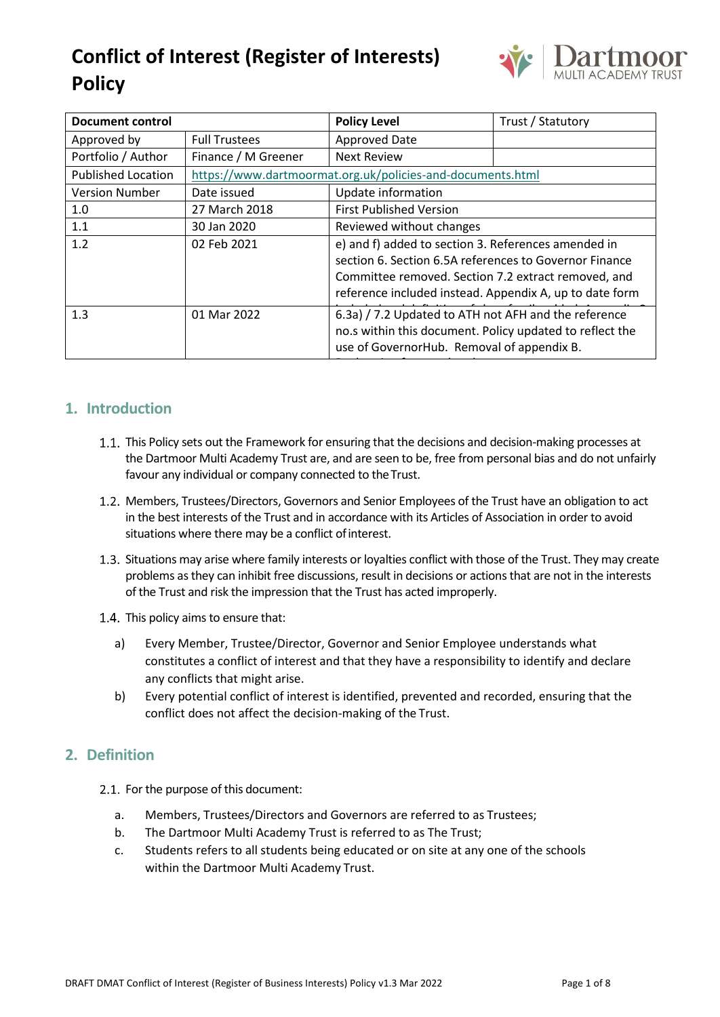

| <b>Document control</b>   |                                                            | <b>Policy Level</b>                                                                                                                                            | Trust / Statutory |  |
|---------------------------|------------------------------------------------------------|----------------------------------------------------------------------------------------------------------------------------------------------------------------|-------------------|--|
| Approved by               | <b>Full Trustees</b>                                       | Approved Date                                                                                                                                                  |                   |  |
| Portfolio / Author        | Finance / M Greener                                        | <b>Next Review</b>                                                                                                                                             |                   |  |
| <b>Published Location</b> | https://www.dartmoormat.org.uk/policies-and-documents.html |                                                                                                                                                                |                   |  |
| <b>Version Number</b>     | Date issued                                                | Update information                                                                                                                                             |                   |  |
| 1.0                       | 27 March 2018                                              | <b>First Published Version</b>                                                                                                                                 |                   |  |
| 1.1                       | 30 Jan 2020                                                | Reviewed without changes                                                                                                                                       |                   |  |
| 1.2                       | 02 Feb 2021                                                | e) and f) added to section 3. References amended in<br>section 6. Section 6.5A references to Governor Finance                                                  |                   |  |
|                           |                                                            | Committee removed. Section 7.2 extract removed, and<br>reference included instead. Appendix A, up to date form                                                 |                   |  |
| 1.3                       | 01 Mar 2022                                                | 6.3a) / 7.2 Updated to ATH not AFH and the reference<br>no.s within this document. Policy updated to reflect the<br>use of GovernorHub. Removal of appendix B. |                   |  |

## **1. Introduction**

- 1.1. This Policy sets out the Framework for ensuring that the decisions and decision-making processes at the Dartmoor Multi Academy Trust are, and are seen to be, free from personal bias and do not unfairly favour any individual or company connected to the Trust.
- 1.2. Members, Trustees/Directors, Governors and Senior Employees of the Trust have an obligation to act in the best interests of the Trust and in accordance with its Articles of Association in order to avoid situations where there may be a conflict of interest.
- 1.3. Situations may arise where family interests or loyalties conflict with those of the Trust. They may create problems as they can inhibit free discussions, result in decisions or actions that are not in the interests of the Trust and risk the impression that the Trust has acted improperly.
- 1.4. This policy aims to ensure that:
	- a) Every Member, Trustee/Director, Governor and Senior Employee understands what constitutes a conflict of interest and that they have a responsibility to identify and declare any conflicts that might arise.
	- b) Every potential conflict of interest is identified, prevented and recorded, ensuring that the conflict does not affect the decision-making of the Trust.

### **2. Definition**

- 2.1. For the purpose of this document:
	- a. Members, Trustees/Directors and Governors are referred to as Trustees;
	- b. The Dartmoor Multi Academy Trust is referred to as The Trust;
	- c. Students refers to all students being educated or on site at any one of the schools within the Dartmoor Multi Academy Trust.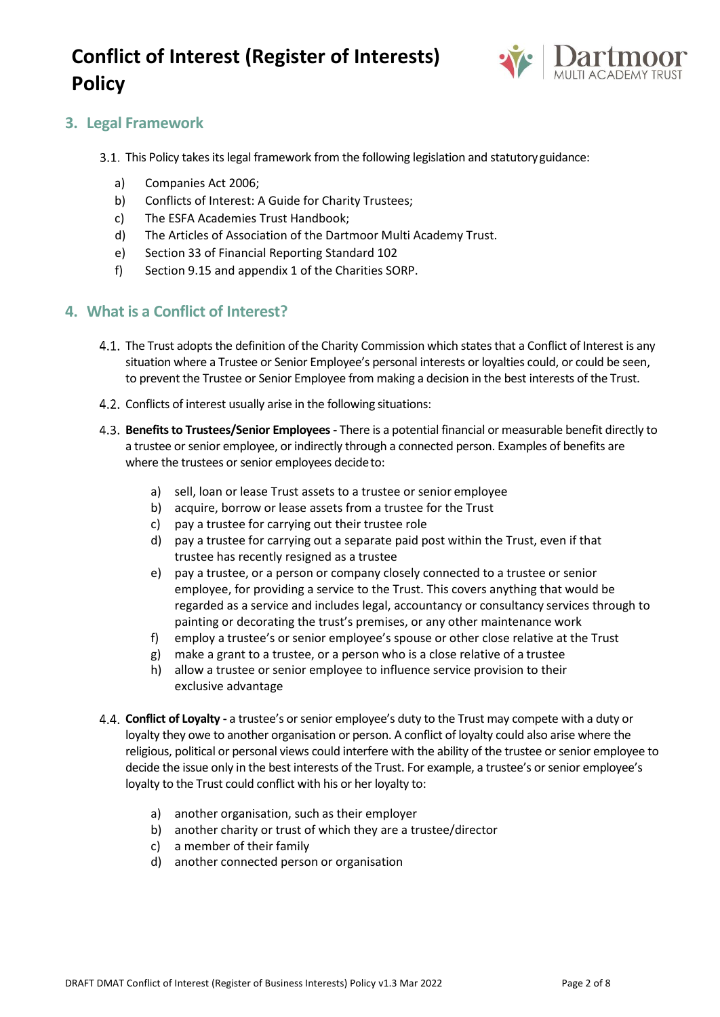

### **3. Legal Framework**

- 3.1. This Policy takes its legal framework from the following legislation and statutory guidance:
	- a) Companies Act 2006;
	- b) Conflicts of Interest: A Guide for Charity Trustees;
	- c) The ESFA Academies Trust Handbook;
	- d) The Articles of Association of the Dartmoor Multi Academy Trust.
	- e) Section 33 of Financial Reporting Standard 102
	- f) Section 9.15 and appendix 1 of the Charities SORP.

#### **4. What is a Conflict of Interest?**

- 4.1. The Trust adopts the definition of the Charity Commission which states that a Conflict of Interest is any situation where a Trustee or Senior Employee's personal interests or loyalties could, or could be seen, to prevent the Trustee or Senior Employee from making a decision in the best interests of the Trust.
- 4.2. Conflicts of interest usually arise in the following situations:
- **Benefits to Trustees/Senior Employees -** There is a potential financial or measurable benefit directly to a trustee or senior employee, or indirectly through a connected person. Examples of benefits are where the trustees or senior employees decide to:
	- a) sell, loan or lease Trust assets to a trustee or senior employee
	- b) acquire, borrow or lease assets from a trustee for the Trust
	- c) pay a trustee for carrying out their trustee role
	- d) pay a trustee for carrying out a separate paid post within the Trust, even if that trustee has recently resigned as a trustee
	- e) pay a trustee, or a person or company closely connected to a trustee or senior employee, for providing a service to the Trust. This covers anything that would be regarded as a service and includes legal, accountancy or consultancy services through to painting or decorating the trust's premises, or any other maintenance work
	- f) employ a trustee's or senior employee's spouse or other close relative at the Trust
	- g) make a grant to a trustee, or a person who is a close relative of a trustee
	- h) allow a trustee or senior employee to influence service provision to their exclusive advantage
- **Conflict of Loyalty -** a trustee's or senior employee's duty to the Trust may compete with a duty or loyalty they owe to another organisation or person. A conflict of loyalty could also arise where the religious, political or personal views could interfere with the ability of the trustee or senior employee to decide the issue only in the best interests of the Trust. For example, a trustee's or senior employee's loyalty to the Trust could conflict with his or her loyalty to:
	- a) another organisation, such as their employer
	- b) another charity or trust of which they are a trustee/director
	- c) a member of their family
	- d) another connected person or organisation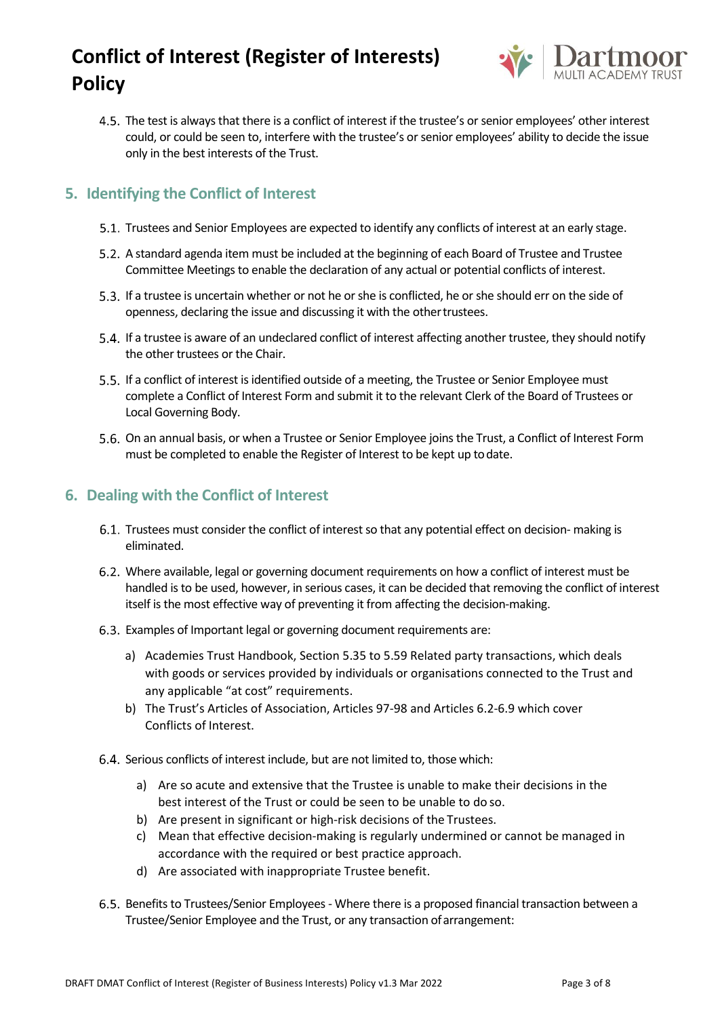

The test is always that there is a conflict of interest if the trustee's or senior employees' other interest could, or could be seen to, interfere with the trustee's or senior employees' ability to decide the issue only in the best interests of the Trust.

### **5. Identifying the Conflict of Interest**

- 5.1. Trustees and Senior Employees are expected to identify any conflicts of interest at an early stage.
- A standard agenda item must be included at the beginning of each Board of Trustee and Trustee Committee Meetings to enable the declaration of any actual or potential conflicts of interest.
- 5.3. If a trustee is uncertain whether or not he or she is conflicted, he or she should err on the side of openness, declaring the issue and discussing it with the othertrustees.
- If a trustee is aware of an undeclared conflict of interest affecting another trustee, they should notify the other trustees or the Chair.
- 5.5. If a conflict of interest is identified outside of a meeting, the Trustee or Senior Employee must complete a Conflict of Interest Form and submit it to the relevant Clerk of the Board of Trustees or Local Governing Body.
- 5.6. On an annual basis, or when a Trustee or Senior Employee joins the Trust, a Conflict of Interest Form must be completed to enable the Register of Interest to be kept up todate.

### **6. Dealing with the Conflict of Interest**

- 6.1. Trustees must consider the conflict of interest so that any potential effect on decision- making is eliminated.
- Where available, legal or governing document requirements on how a conflict of interest must be handled is to be used, however, in serious cases, it can be decided that removing the conflict of interest itself is the most effective way of preventing it from affecting the decision-making.
- Examples of Important legal or governing document requirements are:
	- a) Academies Trust Handbook, Section 5.35 to 5.59 Related party transactions, which deals with goods or services provided by individuals or organisations connected to the Trust and any applicable "at cost" requirements.
	- b) The Trust's Articles of Association, Articles 97-98 and Articles 6.2-6.9 which cover Conflicts of Interest.
- Serious conflicts of interest include, but are not limited to, those which:
	- a) Are so acute and extensive that the Trustee is unable to make their decisions in the best interest of the Trust or could be seen to be unable to do so.
	- b) Are present in significant or high-risk decisions of the Trustees.
	- c) Mean that effective decision-making is regularly undermined or cannot be managed in accordance with the required or best practice approach.
	- d) Are associated with inappropriate Trustee benefit.
- Benefits to Trustees/Senior Employees- Where there is a proposed financial transaction between a Trustee/Senior Employee and the Trust, or any transaction ofarrangement: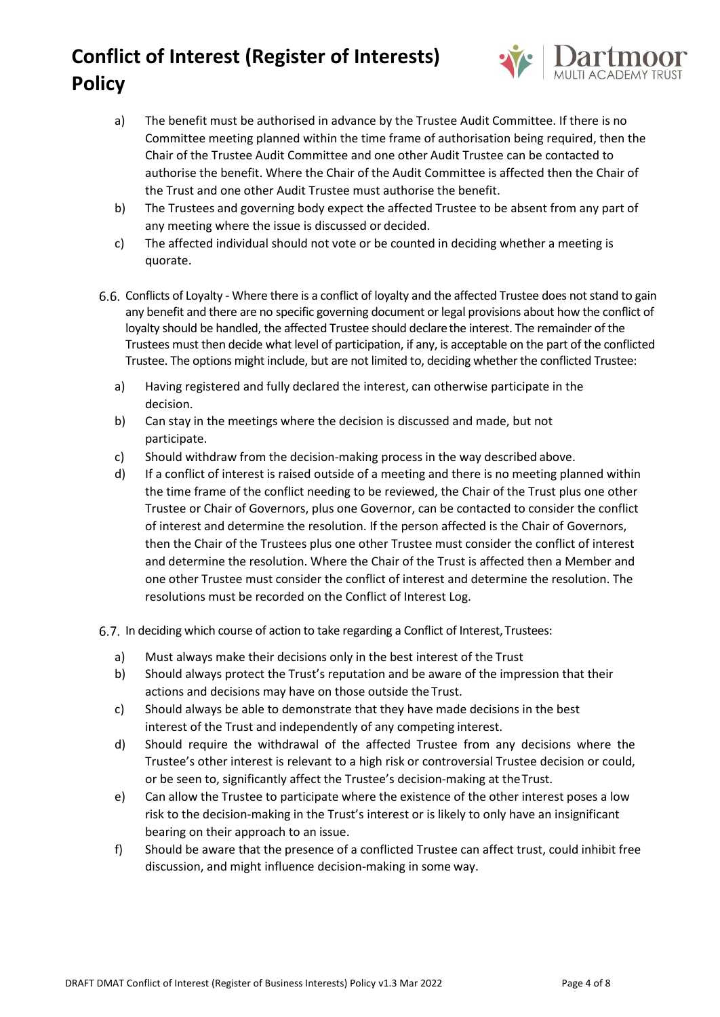

- a) The benefit must be authorised in advance by the Trustee Audit Committee. If there is no Committee meeting planned within the time frame of authorisation being required, then the Chair of the Trustee Audit Committee and one other Audit Trustee can be contacted to authorise the benefit. Where the Chair of the Audit Committee is affected then the Chair of the Trust and one other Audit Trustee must authorise the benefit.
- b) The Trustees and governing body expect the affected Trustee to be absent from any part of any meeting where the issue is discussed or decided.
- c) The affected individual should not vote or be counted in deciding whether a meeting is quorate.
- Conflicts of Loyalty Where there is a conflict of loyalty and the affected Trustee does not stand to gain any benefit and there are no specific governing document or legal provisions about how the conflict of loyalty should be handled, the affected Trustee should declarethe interest. The remainder of the Trustees must then decide what level of participation, if any, is acceptable on the part of the conflicted Trustee. The options might include, but are not limited to, deciding whether the conflicted Trustee:
	- a) Having registered and fully declared the interest, can otherwise participate in the decision.
	- b) Can stay in the meetings where the decision is discussed and made, but not participate.
	- c) Should withdraw from the decision-making process in the way described above.
	- d) If a conflict of interest is raised outside of a meeting and there is no meeting planned within the time frame of the conflict needing to be reviewed, the Chair of the Trust plus one other Trustee or Chair of Governors, plus one Governor, can be contacted to consider the conflict of interest and determine the resolution. If the person affected is the Chair of Governors, then the Chair of the Trustees plus one other Trustee must consider the conflict of interest and determine the resolution. Where the Chair of the Trust is affected then a Member and one other Trustee must consider the conflict of interest and determine the resolution. The resolutions must be recorded on the Conflict of Interest Log.
- 6.7. In deciding which course of action to take regarding a Conflict of Interest, Trustees:
	- a) Must always make their decisions only in the best interest of the Trust
	- b) Should always protect the Trust's reputation and be aware of the impression that their actions and decisions may have on those outside the Trust.
	- c) Should always be able to demonstrate that they have made decisions in the best interest of the Trust and independently of any competing interest.
	- d) Should require the withdrawal of the affected Trustee from any decisions where the Trustee's other interest is relevant to a high risk or controversial Trustee decision or could, or be seen to, significantly affect the Trustee's decision-making at theTrust.
	- e) Can allow the Trustee to participate where the existence of the other interest poses a low risk to the decision-making in the Trust's interest or is likely to only have an insignificant bearing on their approach to an issue.
	- f) Should be aware that the presence of a conflicted Trustee can affect trust, could inhibit free discussion, and might influence decision-making in some way.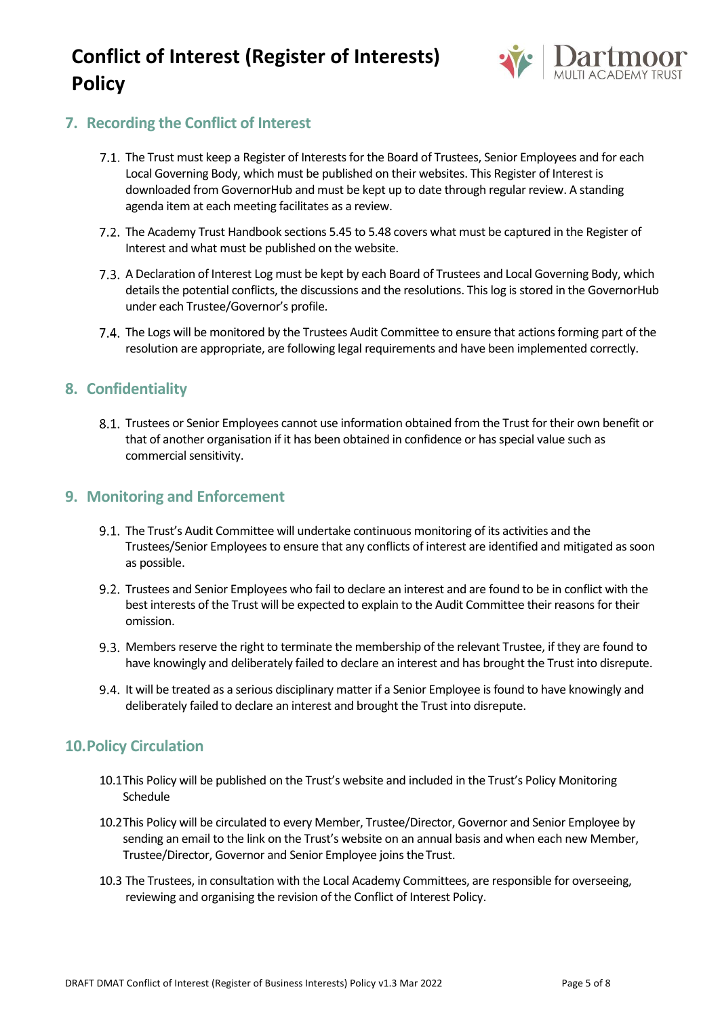

## **7. Recording the Conflict of Interest**

- 7.1. The Trust must keep a Register of Interests for the Board of Trustees, Senior Employees and for each Local Governing Body, which must be published on their websites. This Register of Interest is downloaded from GovernorHub and must be kept up to date through regular review. A standing agenda item at each meeting facilitates as a review.
- 7.2. The Academy Trust Handbook sections 5.45 to 5.48 covers what must be captured in the Register of Interest and what must be published on the website.
- A Declaration of Interest Log must be kept by each Board of Trustees and Local Governing Body, which details the potential conflicts, the discussions and the resolutions. This log is stored in the GovernorHub under each Trustee/Governor's profile.
- 7.4. The Logs will be monitored by the Trustees Audit Committee to ensure that actions forming part of the resolution are appropriate, are following legal requirements and have been implemented correctly.

#### **8. Confidentiality**

8.1. Trustees or Senior Employees cannot use information obtained from the Trust for their own benefit or that of another organisation if it has been obtained in confidence or has special value such as commercial sensitivity.

### **9. Monitoring and Enforcement**

- 9.1. The Trust's Audit Committee will undertake continuous monitoring of its activities and the Trustees/Senior Employees to ensure that any conflicts of interest are identified and mitigated as soon as possible.
- Trustees and Senior Employees who fail to declare an interest and are found to be in conflict with the best interests of the Trust will be expected to explain to the Audit Committee their reasons for their omission.
- 9.3. Members reserve the right to terminate the membership of the relevant Trustee, if they are found to have knowingly and deliberately failed to declare an interest and has brought the Trust into disrepute.
- 9.4. It will be treated as a serious disciplinary matter if a Senior Employee is found to have knowingly and deliberately failed to declare an interest and brought the Trust into disrepute.

### **10.Policy Circulation**

- 10.1This Policy will be published on the Trust's website and included in the Trust's Policy Monitoring Schedule
- 10.2This Policy will be circulated to every Member, Trustee/Director, Governor and Senior Employee by sending an email to the link on the Trust's website on an annual basis and when each new Member, Trustee/Director, Governor and Senior Employee joins theTrust.
- 10.3 The Trustees, in consultation with the Local Academy Committees, are responsible for overseeing, reviewing and organising the revision of the Conflict of Interest Policy.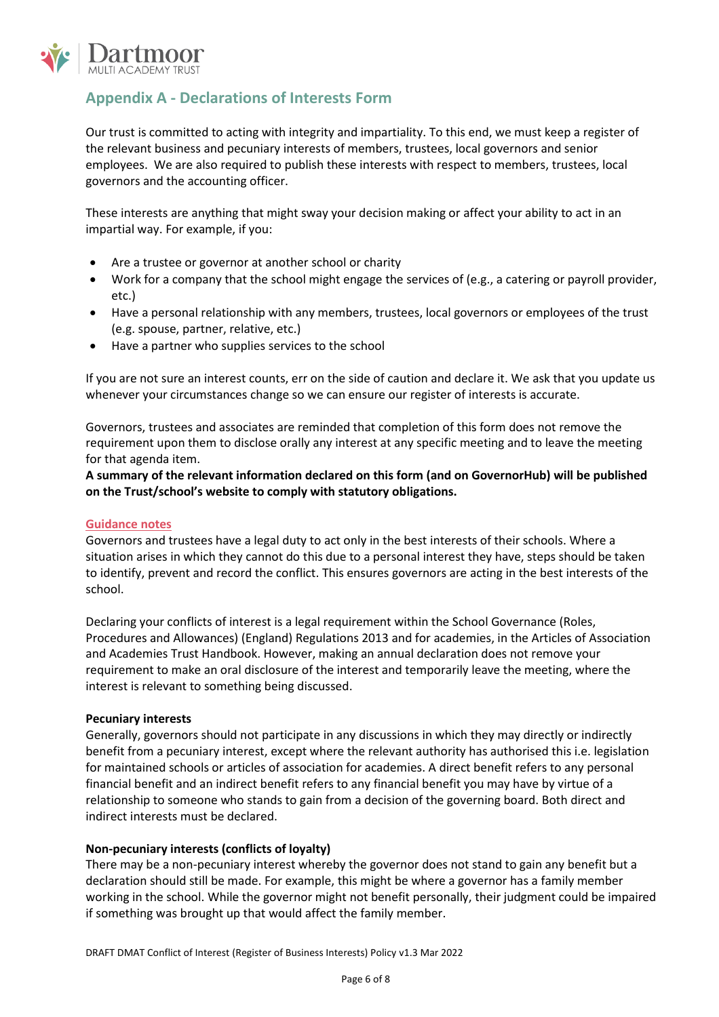

## **Appendix A - Declarations of Interests Form**

Our trust is committed to acting with integrity and impartiality. To this end, we must keep a register of the relevant business and pecuniary interests of members, trustees, local governors and senior employees. We are also required to publish these interests with respect to members, trustees, local governors and the accounting officer.

These interests are anything that might sway your decision making or affect your ability to act in an impartial way. For example, if you:

- Are a trustee or governor at another school or charity
- Work for a company that the school might engage the services of (e.g., a catering or payroll provider, etc.)
- Have a personal relationship with any members, trustees, local governors or employees of the trust (e.g. spouse, partner, relative, etc.)
- Have a partner who supplies services to the school

If you are not sure an interest counts, err on the side of caution and declare it. We ask that you update us whenever your circumstances change so we can ensure our register of interests is accurate.

Governors, trustees and associates are reminded that completion of this form does not remove the requirement upon them to disclose orally any interest at any specific meeting and to leave the meeting for that agenda item.

**A summary of the relevant information declared on this form (and on GovernorHub) will be published on the Trust/school's website to comply with statutory obligations.**

#### **Guidance notes**

Governors and trustees have a legal duty to act only in the best interests of their schools. Where a situation arises in which they cannot do this due to a personal interest they have, steps should be taken to identify, prevent and record the conflict. This ensures governors are acting in the best interests of the school.

Declaring your conflicts of interest is a legal requirement within the School Governance (Roles, Procedures and Allowances) (England) Regulations 2013 and for academies, in the Articles of Association and Academies Trust Handbook. However, making an annual declaration does not remove your requirement to make an oral disclosure of the interest and temporarily leave the meeting, where the interest is relevant to something being discussed.

#### **Pecuniary interests**

Generally, governors should not participate in any discussions in which they may directly or indirectly benefit from a pecuniary interest, except where the relevant authority has authorised this i.e. legislation for maintained schools or articles of association for academies. A direct benefit refers to any personal financial benefit and an indirect benefit refers to any financial benefit you may have by virtue of a relationship to someone who stands to gain from a decision of the governing board. Both direct and indirect interests must be declared.

#### **Non-pecuniary interests (conflicts of loyalty)**

There may be a non-pecuniary interest whereby the governor does not stand to gain any benefit but a declaration should still be made. For example, this might be where a governor has a family member working in the school. While the governor might not benefit personally, their judgment could be impaired if something was brought up that would affect the family member.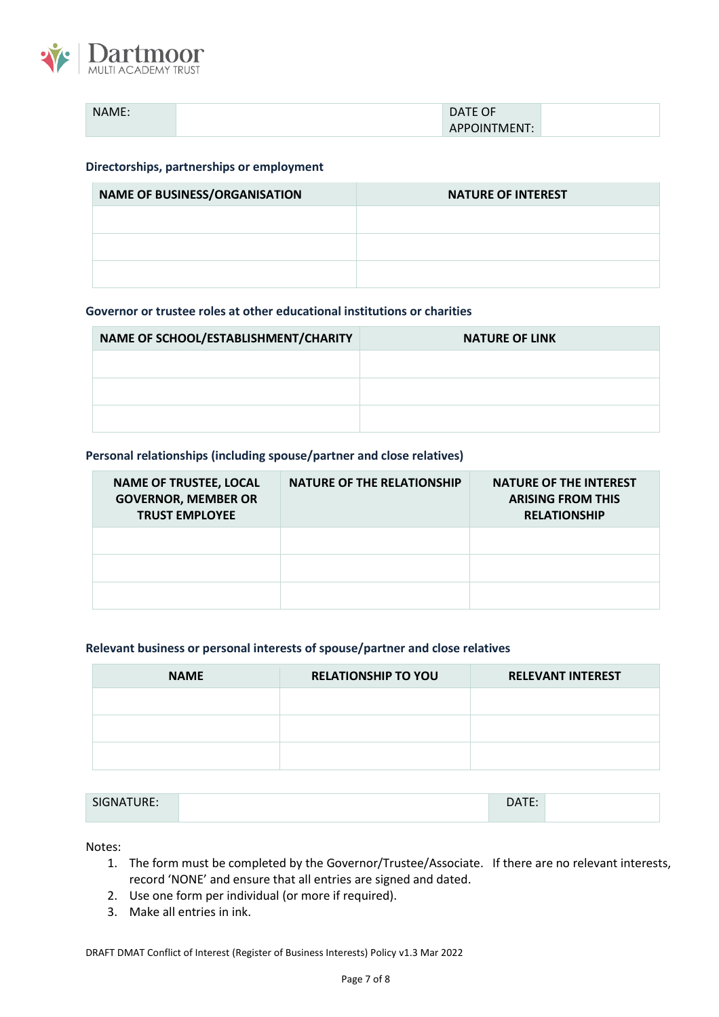

| NAME. | $\sim$ $\sim$<br><b>DATE</b><br>ັ                |  |
|-------|--------------------------------------------------|--|
|       | $\overline{a}$<br>''TMEN'I.<br>жN<br>$^{\prime}$ |  |

#### **Directorships, partnerships or employment**

| <b>NAME OF BUSINESS/ORGANISATION</b> | <b>NATURE OF INTEREST</b> |
|--------------------------------------|---------------------------|
|                                      |                           |
|                                      |                           |
|                                      |                           |

#### **Governor or trustee roles at other educational institutions or charities**

| NAME OF SCHOOL/ESTABLISHMENT/CHARITY | <b>NATURE OF LINK</b> |
|--------------------------------------|-----------------------|
|                                      |                       |
|                                      |                       |
|                                      |                       |

#### **Personal relationships (including spouse/partner and close relatives)**

| <b>NAME OF TRUSTEE, LOCAL</b><br><b>GOVERNOR, MEMBER OR</b><br><b>TRUST EMPLOYEE</b> | <b>NATURE OF THE RELATIONSHIP</b> | <b>NATURE OF THE INTEREST</b><br><b>ARISING FROM THIS</b><br><b>RELATIONSHIP</b> |
|--------------------------------------------------------------------------------------|-----------------------------------|----------------------------------------------------------------------------------|
|                                                                                      |                                   |                                                                                  |
|                                                                                      |                                   |                                                                                  |
|                                                                                      |                                   |                                                                                  |

#### **Relevant business or personal interests of spouse/partner and close relatives**

| <b>NAME</b> | <b>RELATIONSHIP TO YOU</b> | <b>RELEVANT INTEREST</b> |
|-------------|----------------------------|--------------------------|
|             |                            |                          |
|             |                            |                          |
|             |                            |                          |

| SIGNATURE: | -- |  |
|------------|----|--|
|            |    |  |

Notes:

- 1. The form must be completed by the Governor/Trustee/Associate. If there are no relevant interests, record 'NONE' and ensure that all entries are signed and dated.
- 2. Use one form per individual (or more if required).
- 3. Make all entries in ink.